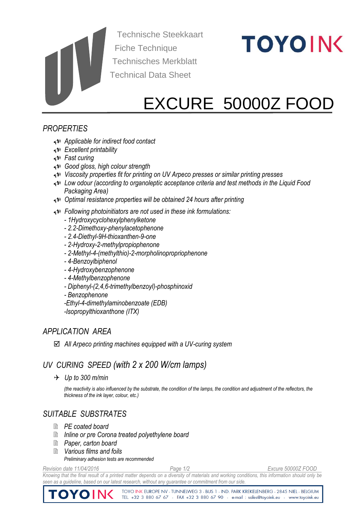Technische Steekkaart Fiche Technique Technisches Merkblatt Technical Data Sheet

# **TOYOINK**

# EXCURE 50000Z FOOD

# *PROPERTIES*

- *Applicable for indirect food contact*
- *Excellent printability*
- *Fast curing*
- *Good gloss, high colour strength*
- *Viscosity properties fit for printing on UV Arpeco presses or similar printing presses*
- *Low odour (according to organoleptic acceptance criteria and test methods in the Liquid Food Packaging Area)*
- *Optimal resistance properties will be obtained 24 hours after printing*
- *Following photoinitiators are not used in these ink formulations:*
	- *- 1Hydroxycyclohexylphenylketone*
	- *- 2.2-Dimethoxy-phenylacetophenone*
	- *- 2.4-Diethyl-9H-thioxanthen-9-one*
	- *- 2-Hydroxy-2-methylpropiophenone*
	- *- 2-Methyl-4-(methylthio)-2-morpholinopropriophenone*
	- *- 4-Benzoylbiphenol*
	- *- 4-Hydroxybenzophenone*
	- *- 4-Methylbenzophenone*
	- *- Diphenyl-(2,4,6-trimethylbenzoyl)-phosphinoxid*
	- *- Benzophenone*
	- *-Ethyl-4-dimethylaminobenzoate (EDB)*
	- *-Isopropylthioxanthone (ITX)*

#### *APPLICATION AREA*

*All Arpeco printing machines equipped with a UV-curing system*

# *UV CURING SPEED (with 2 x 200 W/cm lamps)*

*Up to 300 m/min* 

*(the reactivity is also influenced by the substrate, the condition of the lamps, the condition and adjustment of the reflectors, the thickness of the ink layer, colour, etc.)*

# *SUITABLE SUBSTRATES*

- *PE coated board*
- *Inline or pre Corona treated polyethylene board*
- *Paper, carton board*
- *Various films and foils*

*Preliminary adhesion tests are recommended*

*Revision date 11/04/2016 Page 1/2 Excure 50000Z FOOD*

*Knowing that the final result of a printed matter depends on a diversity of materials and working conditions, this information should only be*  seen as a guideline, based on our latest research, without any guarantee or commitment from our side

TOYO INK EUROPE NV - TUNNELWEG 3 - BUS 1 - IND. PARK KREKELENBERG - 2845 NIEL - BELGIUM TOYOINK TEL. +32 3 880 67 67 - FAX +32 3 880 67 90 - e-mail : sales@toyoink.eu - www.toyoink.eu